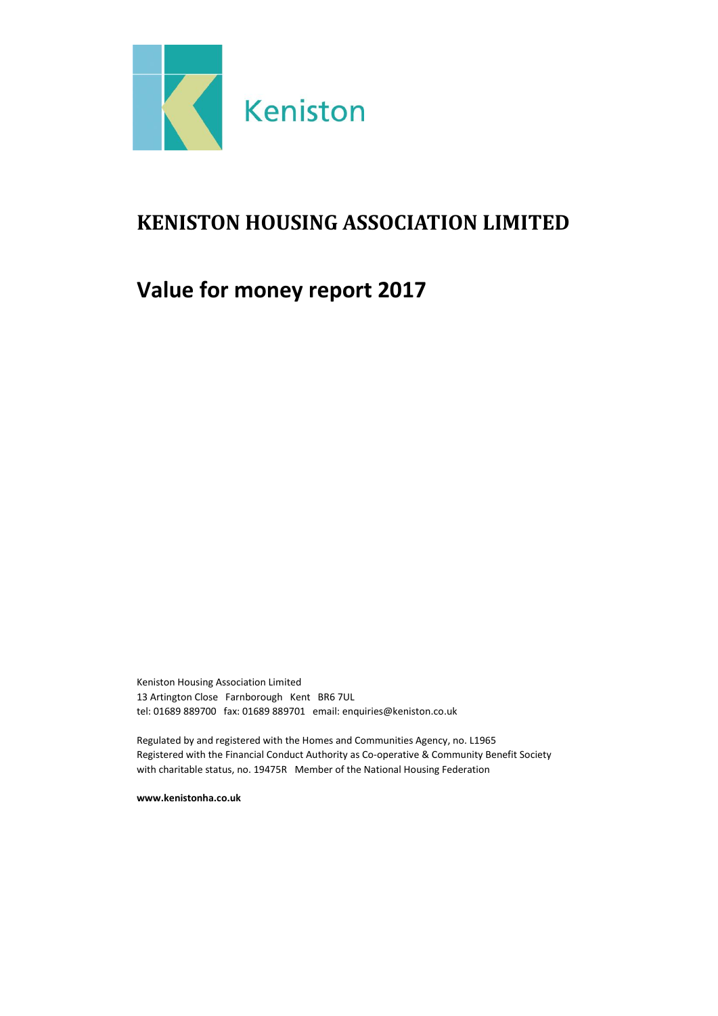

# <span id="page-0-0"></span>**KENISTON HOUSING ASSOCIATION LIMITED**

# **Value for money report 2017**

Keniston Housing Association Limited 13 Artington Close Farnborough Kent BR6 7UL tel: 01689 889700 fax: 01689 889701 email: enquiries@keniston.co.uk

Regulated by and registered with the Homes and Communities Agency, no. L1965 Registered with the Financial Conduct Authority as Co-operative & Community Benefit Society with charitable status, no. 19475R Member of the National Housing Federation

**www.kenistonha.co.uk**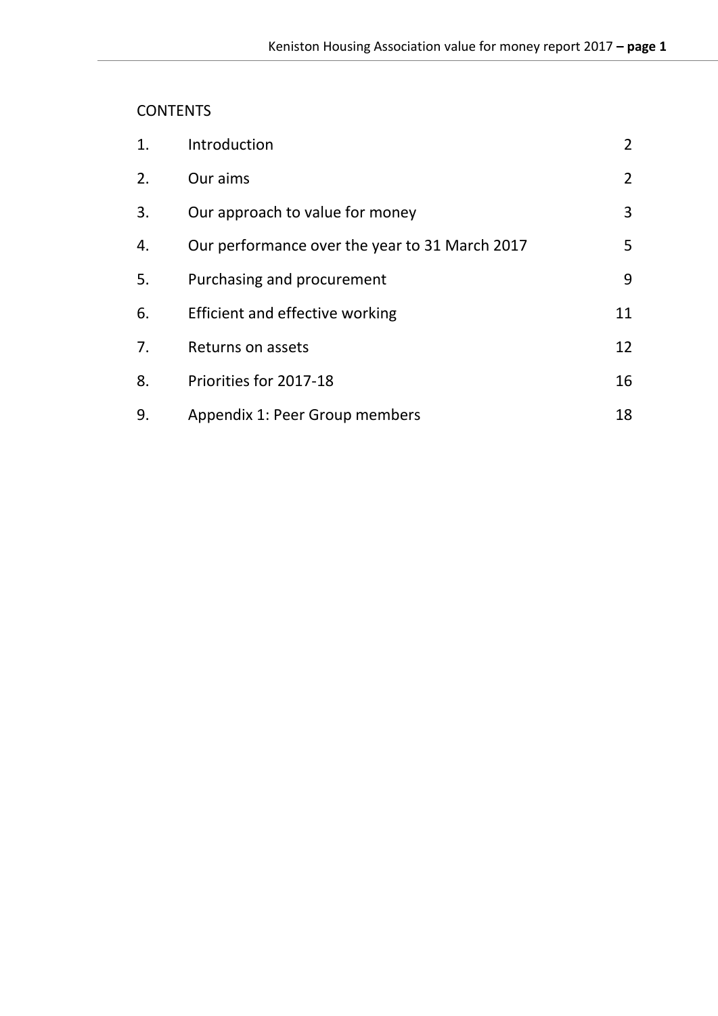## **[CONTENTS](#page-0-0)**

| 1. | Introduction                                   | $\overline{2}$ |
|----|------------------------------------------------|----------------|
| 2. | Our aims                                       | $\overline{2}$ |
| 3. | Our approach to value for money                | 3              |
| 4. | Our performance over the year to 31 March 2017 | 5              |
| 5. | Purchasing and procurement                     | 9              |
| 6. | Efficient and effective working                | 11             |
| 7. | Returns on assets                              | 12             |
| 8. | Priorities for 2017-18                         | 16             |
| 9. | Appendix 1: Peer Group members                 | 18             |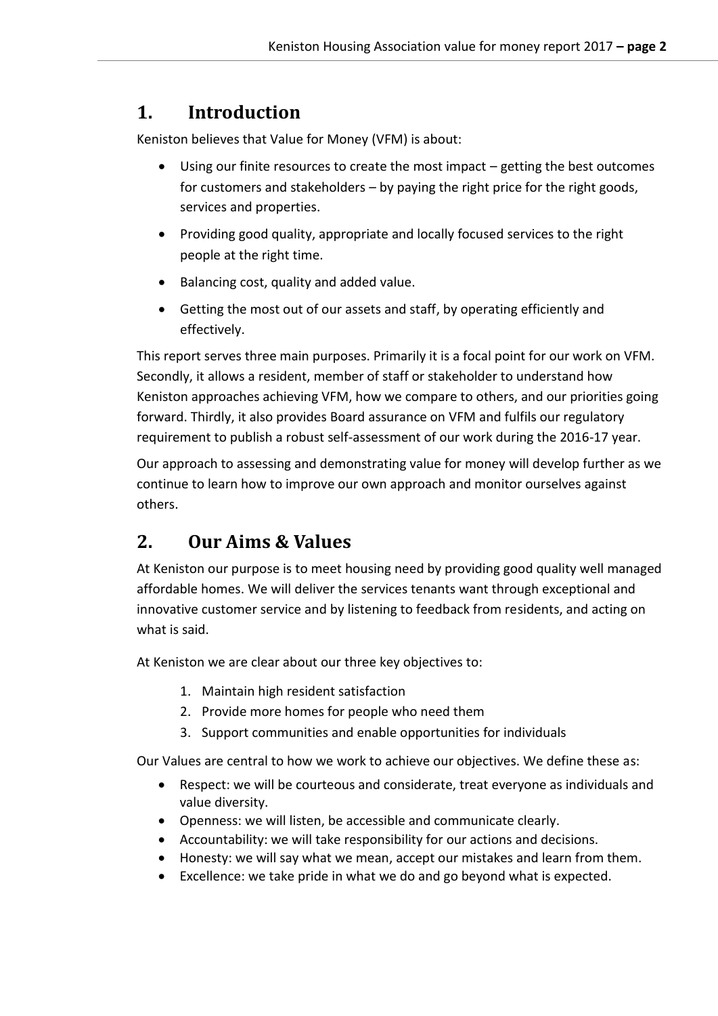## <span id="page-2-0"></span>**1. Introduction**

Keniston believes that Value for Money (VFM) is about:

- Using our finite resources to create the most impact getting the best outcomes for customers and stakeholders – by paying the right price for the right goods, services and properties.
- Providing good quality, appropriate and locally focused services to the right people at the right time.
- Balancing cost, quality and added value.
- Getting the most out of our assets and staff, by operating efficiently and effectively.

This report serves three main purposes. Primarily it is a focal point for our work on VFM. Secondly, it allows a resident, member of staff or stakeholder to understand how Keniston approaches achieving VFM, how we compare to others, and our priorities going forward. Thirdly, it also provides Board assurance on VFM and fulfils our regulatory requirement to publish a robust self-assessment of our work during the 2016-17 year.

Our approach to assessing and demonstrating value for money will develop further as we continue to learn how to improve our own approach and monitor ourselves against others.

## <span id="page-2-1"></span>**2. Our Aims & Values**

At Keniston our purpose is to meet housing need by providing good quality well managed affordable homes. We will deliver the services tenants want through exceptional and innovative customer service and by listening to feedback from residents, and acting on what is said.

At Keniston we are clear about our three key objectives to:

- 1. Maintain high resident satisfaction
- 2. Provide more homes for people who need them
- 3. Support communities and enable opportunities for individuals

Our Values are central to how we work to achieve our objectives. We define these as:

- Respect: we will be courteous and considerate, treat everyone as individuals and value diversity.
- Openness: we will listen, be accessible and communicate clearly.
- Accountability: we will take responsibility for our actions and decisions.
- Honesty: we will say what we mean, accept our mistakes and learn from them.
- Excellence: we take pride in what we do and go beyond what is expected.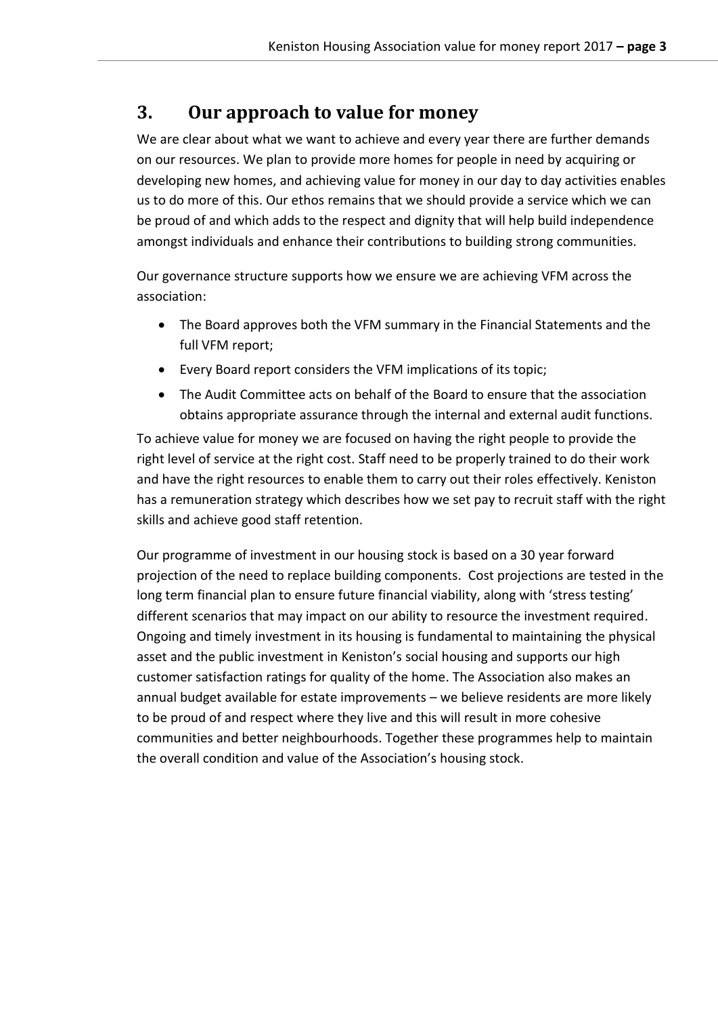## <span id="page-3-0"></span>**3. Our approach to value for money**

We are clear about what we want to achieve and every year there are further demands on our resources. We plan to provide more homes for people in need by acquiring or developing new homes, and achieving value for money in our day to day activities enables us to do more of this. Our ethos remains that we should provide a service which we can be proud of and which adds to the respect and dignity that will help build independence amongst individuals and enhance their contributions to building strong communities.

Our governance structure supports how we ensure we are achieving VFM across the association:

- The Board approves both the VFM summary in the Financial Statements and the full VFM report;
- Every Board report considers the VFM implications of its topic;
- The Audit Committee acts on behalf of the Board to ensure that the association obtains appropriate assurance through the internal and external audit functions.

To achieve value for money we are focused on having the right people to provide the right level of service at the right cost. Staff need to be properly trained to do their work and have the right resources to enable them to carry out their roles effectively. Keniston has a remuneration strategy which describes how we set pay to recruit staff with the right skills and achieve good staff retention.

Our programme of investment in our housing stock is based on a 30 year forward projection of the need to replace building components. Cost projections are tested in the long term financial plan to ensure future financial viability, along with 'stress testing' different scenarios that may impact on our ability to resource the investment required. Ongoing and timely investment in its housing is fundamental to maintaining the physical asset and the public investment in Keniston's social housing and supports our high customer satisfaction ratings for quality of the home. The Association also makes an annual budget available for estate improvements – we believe residents are more likely to be proud of and respect where they live and this will result in more cohesive communities and better neighbourhoods. Together these programmes help to maintain the overall condition and value of the Association's housing stock.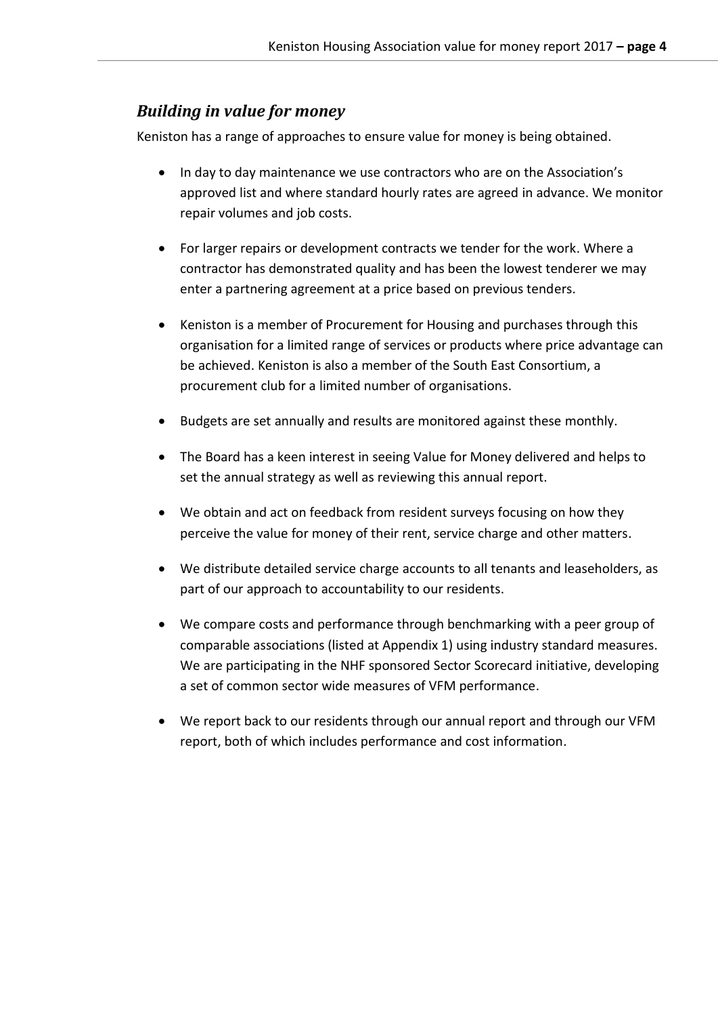## *Building in value for money*

Keniston has a range of approaches to ensure value for money is being obtained.

- In day to day maintenance we use contractors who are on the Association's approved list and where standard hourly rates are agreed in advance. We monitor repair volumes and job costs.
- For larger repairs or development contracts we tender for the work. Where a contractor has demonstrated quality and has been the lowest tenderer we may enter a partnering agreement at a price based on previous tenders.
- Keniston is a member of Procurement for Housing and purchases through this organisation for a limited range of services or products where price advantage can be achieved. Keniston is also a member of the South East Consortium, a procurement club for a limited number of organisations.
- Budgets are set annually and results are monitored against these monthly.
- The Board has a keen interest in seeing Value for Money delivered and helps to set the annual strategy as well as reviewing this annual report.
- We obtain and act on feedback from resident surveys focusing on how they perceive the value for money of their rent, service charge and other matters.
- We distribute detailed service charge accounts to all tenants and leaseholders, as part of our approach to accountability to our residents.
- We compare costs and performance through benchmarking with a peer group of comparable associations (listed at Appendix 1) using industry standard measures. We are participating in the NHF sponsored Sector Scorecard initiative, developing a set of common sector wide measures of VFM performance.
- We report back to our residents through our annual report and through our VFM report, both of which includes performance and cost information.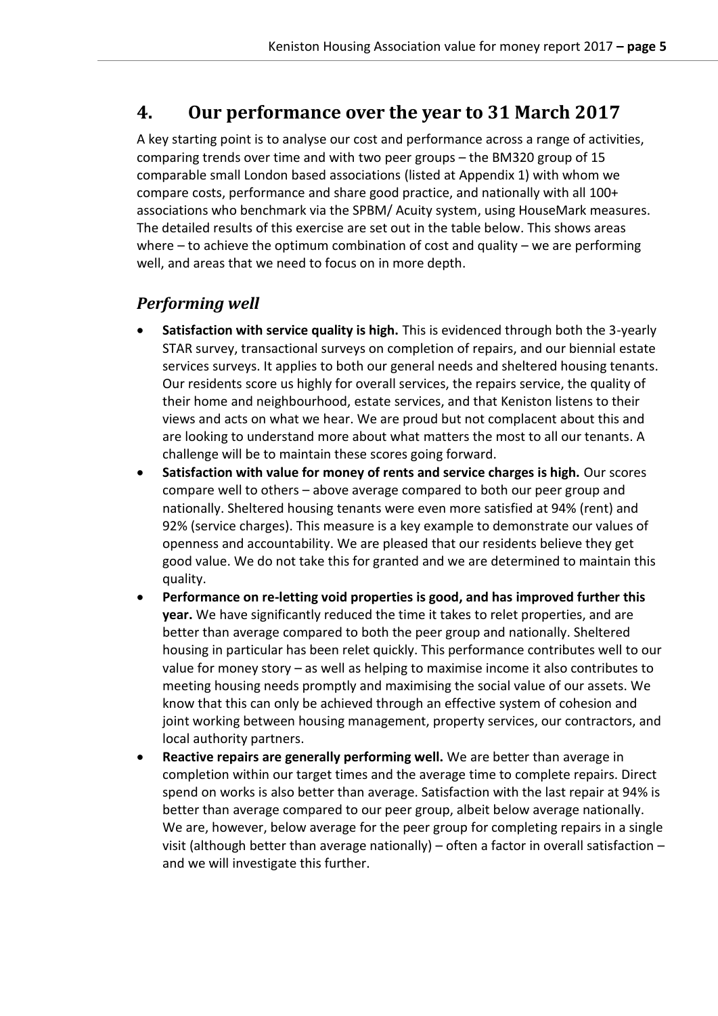## <span id="page-5-0"></span>**4. Our performance over the year to 31 March 2017**

A key starting point is to analyse our cost and performance across a range of activities, comparing trends over time and with two peer groups – the BM320 group of 15 comparable small London based associations (listed at Appendix 1) with whom we compare costs, performance and share good practice, and nationally with all 100+ associations who benchmark via the SPBM/ Acuity system, using HouseMark measures. The detailed results of this exercise are set out in the table below. This shows areas where  $-$  to achieve the optimum combination of cost and quality  $-$  we are performing well, and areas that we need to focus on in more depth.

## *Performing well*

- **Satisfaction with service quality is high.** This is evidenced through both the 3-yearly STAR survey, transactional surveys on completion of repairs, and our biennial estate services surveys. It applies to both our general needs and sheltered housing tenants. Our residents score us highly for overall services, the repairs service, the quality of their home and neighbourhood, estate services, and that Keniston listens to their views and acts on what we hear. We are proud but not complacent about this and are looking to understand more about what matters the most to all our tenants. A challenge will be to maintain these scores going forward.
- **Satisfaction with value for money of rents and service charges is high.** Our scores compare well to others – above average compared to both our peer group and nationally. Sheltered housing tenants were even more satisfied at 94% (rent) and 92% (service charges). This measure is a key example to demonstrate our values of openness and accountability. We are pleased that our residents believe they get good value. We do not take this for granted and we are determined to maintain this quality.
- **Performance on re-letting void properties is good, and has improved further this year.** We have significantly reduced the time it takes to relet properties, and are better than average compared to both the peer group and nationally. Sheltered housing in particular has been relet quickly. This performance contributes well to our value for money story – as well as helping to maximise income it also contributes to meeting housing needs promptly and maximising the social value of our assets. We know that this can only be achieved through an effective system of cohesion and joint working between housing management, property services, our contractors, and local authority partners.
- **Reactive repairs are generally performing well.** We are better than average in completion within our target times and the average time to complete repairs. Direct spend on works is also better than average. Satisfaction with the last repair at 94% is better than average compared to our peer group, albeit below average nationally. We are, however, below average for the peer group for completing repairs in a single visit (although better than average nationally) – often a factor in overall satisfaction – and we will investigate this further.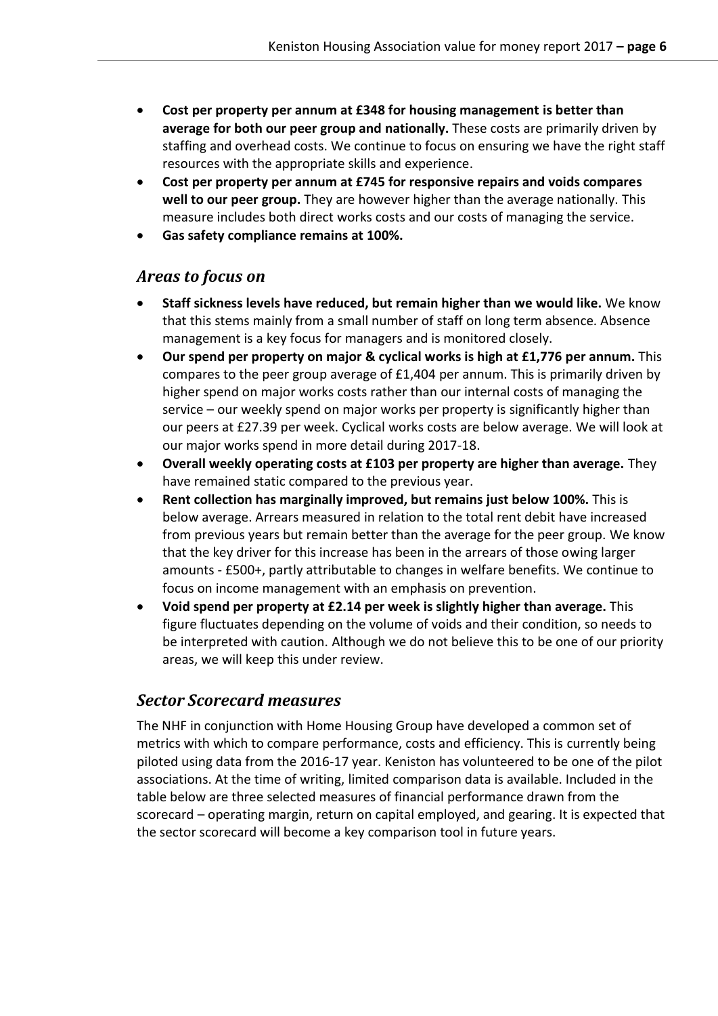- **Cost per property per annum at £348 for housing management is better than average for both our peer group and nationally.** These costs are primarily driven by staffing and overhead costs. We continue to focus on ensuring we have the right staff resources with the appropriate skills and experience.
- **Cost per property per annum at £745 for responsive repairs and voids compares well to our peer group.** They are however higher than the average nationally. This measure includes both direct works costs and our costs of managing the service.
- **Gas safety compliance remains at 100%.**

#### *Areas to focus on*

- **Staff sickness levels have reduced, but remain higher than we would like.** We know that this stems mainly from a small number of staff on long term absence. Absence management is a key focus for managers and is monitored closely.
- **Our spend per property on major & cyclical works is high at £1,776 per annum.** This compares to the peer group average of £1,404 per annum. This is primarily driven by higher spend on major works costs rather than our internal costs of managing the service – our weekly spend on major works per property is significantly higher than our peers at £27.39 per week. Cyclical works costs are below average. We will look at our major works spend in more detail during 2017-18.
- **Overall weekly operating costs at £103 per property are higher than average.** They have remained static compared to the previous year.
- **Rent collection has marginally improved, but remains just below 100%.** This is below average. Arrears measured in relation to the total rent debit have increased from previous years but remain better than the average for the peer group. We know that the key driver for this increase has been in the arrears of those owing larger amounts - £500+, partly attributable to changes in welfare benefits. We continue to focus on income management with an emphasis on prevention.
- **Void spend per property at £2.14 per week is slightly higher than average.** This figure fluctuates depending on the volume of voids and their condition, so needs to be interpreted with caution. Although we do not believe this to be one of our priority areas, we will keep this under review.

### *Sector Scorecard measures*

The NHF in conjunction with Home Housing Group have developed a common set of metrics with which to compare performance, costs and efficiency. This is currently being piloted using data from the 2016-17 year. Keniston has volunteered to be one of the pilot associations. At the time of writing, limited comparison data is available. Included in the table below are three selected measures of financial performance drawn from the scorecard – operating margin, return on capital employed, and gearing. It is expected that the sector scorecard will become a key comparison tool in future years.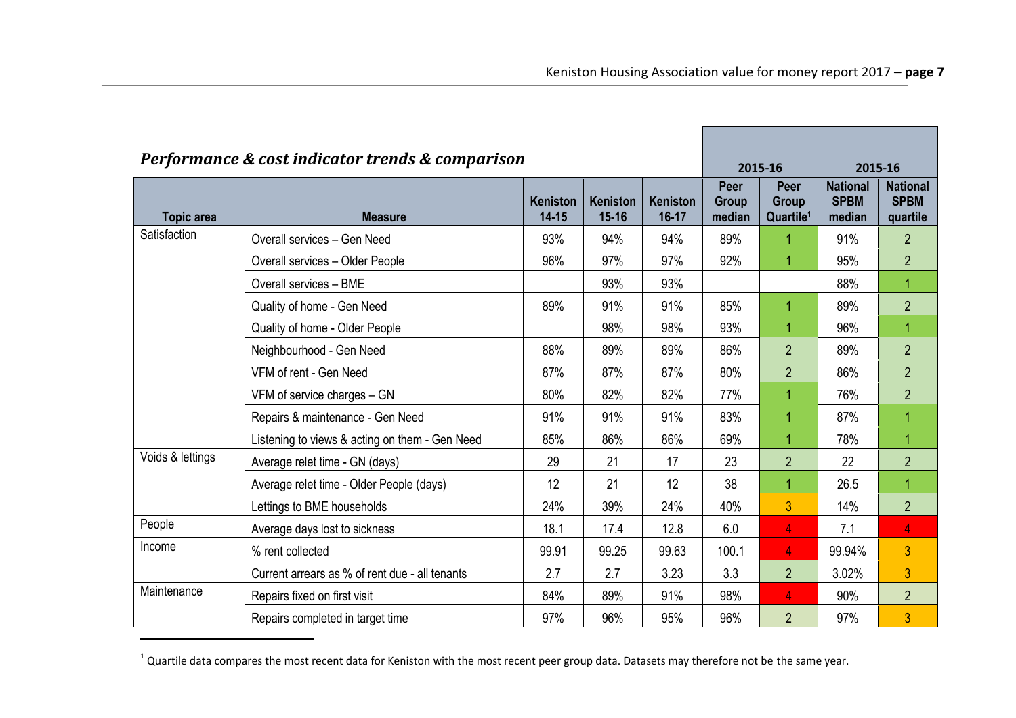| Performance & cost indicator trends & comparison |                                                |                              |                              |                              | 2015-16                 |                                        | 2015-16                                  |                                            |
|--------------------------------------------------|------------------------------------------------|------------------------------|------------------------------|------------------------------|-------------------------|----------------------------------------|------------------------------------------|--------------------------------------------|
| <b>Topic area</b>                                | <b>Measure</b>                                 | <b>Keniston</b><br>$14 - 15$ | <b>Keniston</b><br>$15 - 16$ | <b>Keniston</b><br>$16 - 17$ | Peer<br>Group<br>median | Peer<br>Group<br>Quartile <sup>1</sup> | <b>National</b><br><b>SPBM</b><br>median | <b>National</b><br><b>SPBM</b><br>quartile |
| Satisfaction                                     | Overall services - Gen Need                    | 93%                          | 94%                          | 94%                          | 89%                     |                                        | 91%                                      | $\overline{2}$                             |
|                                                  | Overall services - Older People                | 96%                          | 97%                          | 97%                          | 92%                     | 1                                      | 95%                                      | $\overline{2}$                             |
|                                                  | Overall services - BME                         |                              | 93%                          | 93%                          |                         |                                        | 88%                                      | 1                                          |
|                                                  | Quality of home - Gen Need                     | 89%                          | 91%                          | 91%                          | 85%                     | 1                                      | 89%                                      | $\overline{2}$                             |
|                                                  | Quality of home - Older People                 |                              | 98%                          | 98%                          | 93%                     |                                        | 96%                                      | 1                                          |
|                                                  | Neighbourhood - Gen Need                       | 88%                          | 89%                          | 89%                          | 86%                     | $\overline{2}$                         | 89%                                      | $\overline{2}$                             |
|                                                  | VFM of rent - Gen Need                         | 87%                          | 87%                          | 87%                          | 80%                     | $\overline{2}$                         | 86%                                      | $\overline{2}$                             |
|                                                  | VFM of service charges - GN                    | 80%                          | 82%                          | 82%                          | 77%                     |                                        | 76%                                      | $\overline{2}$                             |
|                                                  | Repairs & maintenance - Gen Need               | 91%                          | 91%                          | 91%                          | 83%                     | 1                                      | 87%                                      | 1                                          |
|                                                  | Listening to views & acting on them - Gen Need | 85%                          | 86%                          | 86%                          | 69%                     | 1                                      | 78%                                      | 1                                          |
| Voids & lettings                                 | Average relet time - GN (days)                 | 29                           | 21                           | 17                           | 23                      | $\overline{2}$                         | 22                                       | $\overline{2}$                             |
|                                                  | Average relet time - Older People (days)       | 12                           | 21                           | 12                           | 38                      | 1                                      | 26.5                                     | 1                                          |
|                                                  | Lettings to BME households                     | 24%                          | 39%                          | 24%                          | 40%                     | 3                                      | 14%                                      | $\overline{2}$                             |
| People                                           | Average days lost to sickness                  | 18.1                         | 17.4                         | 12.8                         | 6.0                     | 4                                      | 7.1                                      | $\overline{4}$                             |
| Income                                           | % rent collected                               | 99.91                        | 99.25                        | 99.63                        | 100.1                   | 4                                      | 99.94%                                   | 3                                          |
|                                                  | Current arrears as % of rent due - all tenants | 2.7                          | 2.7                          | 3.23                         | 3.3                     | $\overline{2}$                         | 3.02%                                    | 3                                          |
| Maintenance                                      | Repairs fixed on first visit                   | 84%                          | 89%                          | 91%                          | 98%                     | 4                                      | 90%                                      | $\overline{2}$                             |
|                                                  | Repairs completed in target time               | 97%                          | 96%                          | 95%                          | 96%                     | $\overline{2}$                         | 97%                                      | $\overline{3}$                             |

 $^1$  Quartile data compares the most recent data for Keniston with the most recent peer group data. Datasets may therefore not be the same year.

-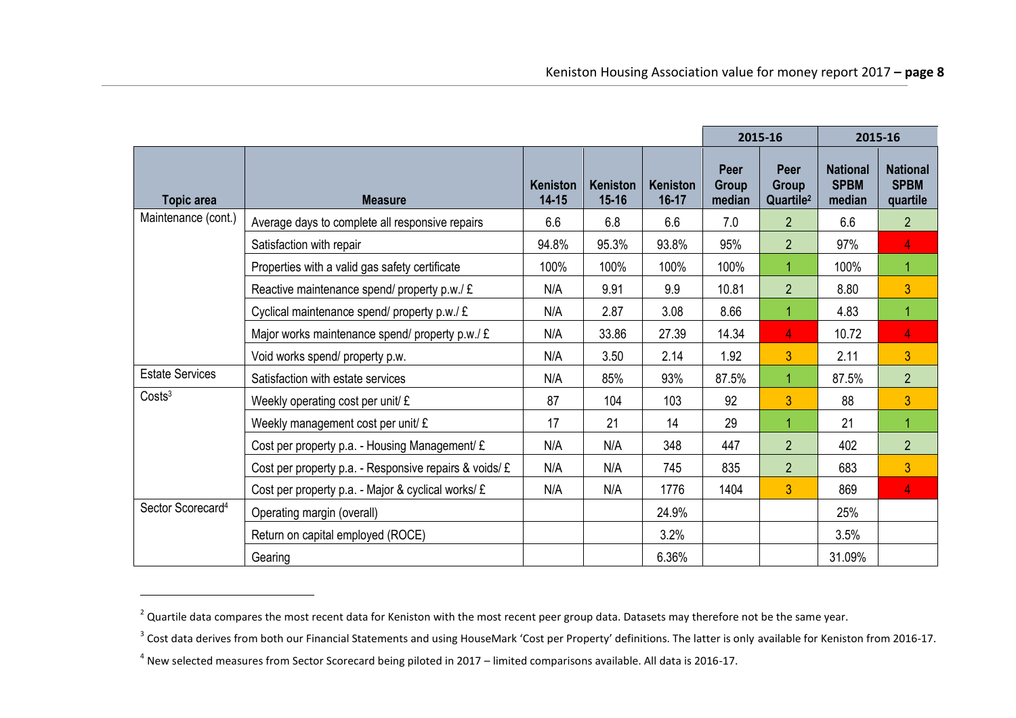|                               |                                                        |                              |                              |                       | 2015-16                 |                                        | 2015-16                                  |                                            |
|-------------------------------|--------------------------------------------------------|------------------------------|------------------------------|-----------------------|-------------------------|----------------------------------------|------------------------------------------|--------------------------------------------|
| Topic area                    | <b>Measure</b>                                         | <b>Keniston</b><br>$14 - 15$ | <b>Keniston</b><br>$15 - 16$ | Keniston<br>$16 - 17$ | Peer<br>Group<br>median | Peer<br>Group<br>Quartile <sup>2</sup> | <b>National</b><br><b>SPBM</b><br>median | <b>National</b><br><b>SPBM</b><br>quartile |
| Maintenance (cont.)           | Average days to complete all responsive repairs        | 6.6                          | 6.8                          | 6.6                   | 7.0                     | $\overline{2}$                         | 6.6                                      | $\overline{2}$                             |
|                               | Satisfaction with repair                               | 94.8%                        | 95.3%                        | 93.8%                 | 95%                     | $\overline{2}$                         | 97%                                      | $\overline{4}$                             |
|                               | Properties with a valid gas safety certificate         | 100%                         | 100%                         | 100%                  | 100%                    | 1                                      | 100%                                     | 1                                          |
|                               | Reactive maintenance spend/ property p.w./ £           | N/A                          | 9.91                         | 9.9                   | 10.81                   | $\overline{2}$                         | 8.80                                     | 3                                          |
|                               | Cyclical maintenance spend/ property p.w./£            | N/A                          | 2.87                         | 3.08                  | 8.66                    | 1                                      | 4.83                                     | 1                                          |
|                               | Major works maintenance spend/ property p.w./ £        | N/A                          | 33.86                        | 27.39                 | 14.34                   | $\overline{4}$                         | 10.72                                    | 4                                          |
|                               | Void works spend/ property p.w.                        | N/A                          | 3.50                         | 2.14                  | 1.92                    | 3                                      | 2.11                                     | 3                                          |
| <b>Estate Services</b>        | Satisfaction with estate services                      | N/A                          | 85%                          | 93%                   | 87.5%                   | 1                                      | 87.5%                                    | $\overline{2}$                             |
| Costs <sup>3</sup>            | Weekly operating cost per unit/ £                      | 87                           | 104                          | 103                   | 92                      | 3 <sup>1</sup>                         | 88                                       | 3                                          |
|                               | Weekly management cost per unit/ £                     | 17                           | 21                           | 14                    | 29                      | 1                                      | 21                                       | $\mathbf{1}$                               |
|                               | Cost per property p.a. - Housing Management/ £         | N/A                          | N/A                          | 348                   | 447                     | $\overline{2}$                         | 402                                      | $\overline{2}$                             |
|                               | Cost per property p.a. - Responsive repairs & voids/ £ | N/A                          | N/A                          | 745                   | 835                     | $\overline{2}$                         | 683                                      | $\overline{3}$                             |
|                               | Cost per property p.a. - Major & cyclical works/ £     | N/A                          | N/A                          | 1776                  | 1404                    | 3                                      | 869                                      | $\overline{4}$                             |
| Sector Scorecard <sup>4</sup> | Operating margin (overall)                             |                              |                              | 24.9%                 |                         |                                        | 25%                                      |                                            |
|                               | Return on capital employed (ROCE)                      |                              |                              | 3.2%                  |                         |                                        | 3.5%                                     |                                            |
|                               | Gearing                                                |                              |                              | 6.36%                 |                         |                                        | 31.09%                                   |                                            |

-

 $^2$  Quartile data compares the most recent data for Keniston with the most recent peer group data. Datasets may therefore not be the same year.

 $^3$  Cost data derives from both our Financial Statements and using HouseMark 'Cost per Property' definitions. The latter is only available for Keniston from 2016-17.

<sup>&</sup>lt;sup>4</sup> New selected measures from Sector Scorecard being piloted in 2017 – limited comparisons available. All data is 2016-17.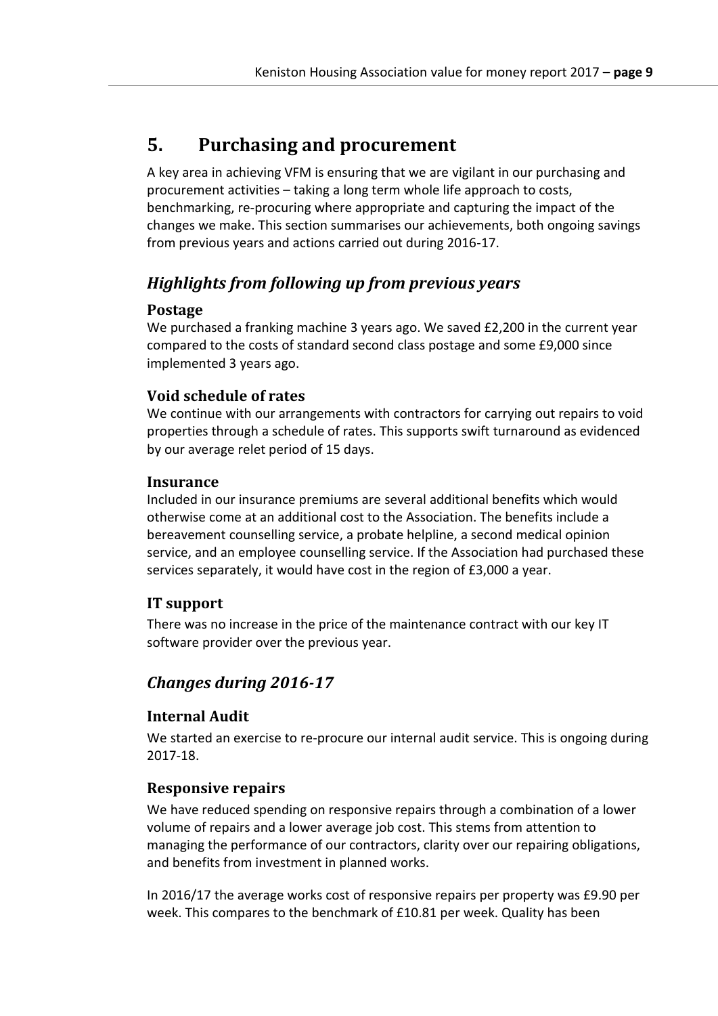## <span id="page-9-0"></span>**5. Purchasing and procurement**

A key area in achieving VFM is ensuring that we are vigilant in our purchasing and procurement activities – taking a long term whole life approach to costs, benchmarking, re-procuring where appropriate and capturing the impact of the changes we make. This section summarises our achievements, both ongoing savings from previous years and actions carried out during 2016-17.

## *Highlights from following up from previous years*

#### **Postage**

We purchased a franking machine 3 years ago. We saved £2,200 in the current year compared to the costs of standard second class postage and some £9,000 since implemented 3 years ago.

#### **Void schedule of rates**

We continue with our arrangements with contractors for carrying out repairs to void properties through a schedule of rates. This supports swift turnaround as evidenced by our average relet period of 15 days.

#### **Insurance**

Included in our insurance premiums are several additional benefits which would otherwise come at an additional cost to the Association. The benefits include a bereavement counselling service, a probate helpline, a second medical opinion service, and an employee counselling service. If the Association had purchased these services separately, it would have cost in the region of £3,000 a year.

### **IT support**

There was no increase in the price of the maintenance contract with our key IT software provider over the previous year.

## *Changes during 2016-17*

#### **Internal Audit**

We started an exercise to re-procure our internal audit service. This is ongoing during 2017-18.

#### **Responsive repairs**

We have reduced spending on responsive repairs through a combination of a lower volume of repairs and a lower average job cost. This stems from attention to managing the performance of our contractors, clarity over our repairing obligations, and benefits from investment in planned works.

In 2016/17 the average works cost of responsive repairs per property was £9.90 per week. This compares to the benchmark of £10.81 per week. Quality has been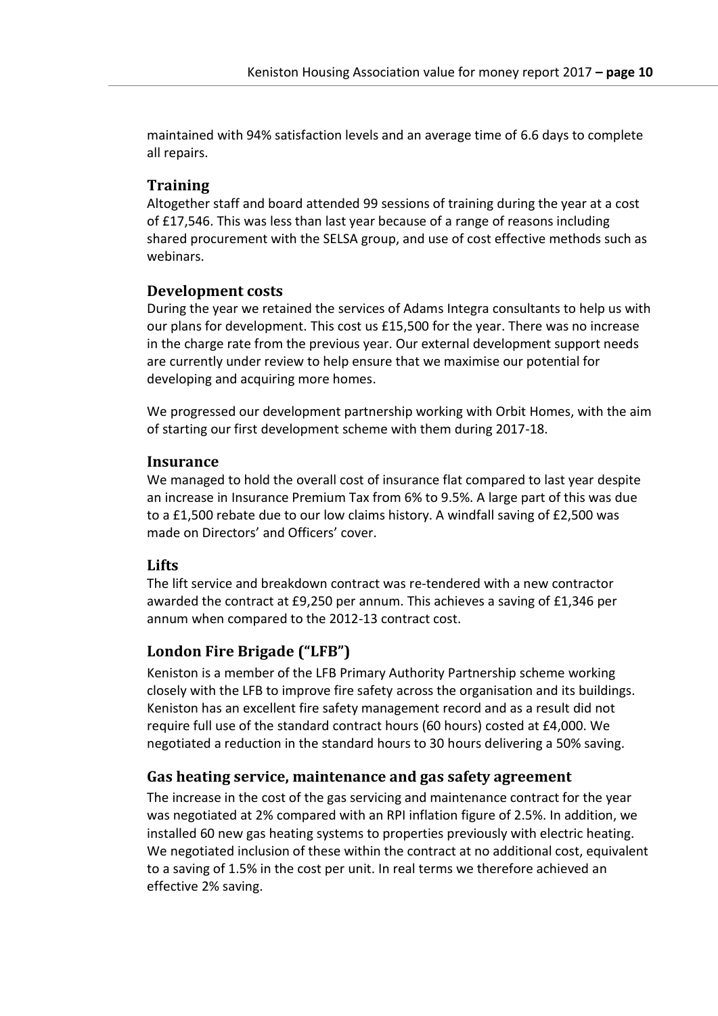maintained with 94% satisfaction levels and an average time of 6.6 days to complete all repairs.

#### **Training**

Altogether staff and board attended 99 sessions of training during the year at a cost of £17,546. This was less than last year because of a range of reasons including shared procurement with the SELSA group, and use of cost effective methods such as webinars.

#### **Development costs**

During the year we retained the services of Adams Integra consultants to help us with our plans for development. This cost us £15,500 for the year. There was no increase in the charge rate from the previous year. Our external development support needs are currently under review to help ensure that we maximise our potential for developing and acquiring more homes.

We progressed our development partnership working with Orbit Homes, with the aim of starting our first development scheme with them during 2017-18.

#### **Insurance**

We managed to hold the overall cost of insurance flat compared to last year despite an increase in Insurance Premium Tax from 6% to 9.5%. A large part of this was due to a £1,500 rebate due to our low claims history. A windfall saving of £2,500 was made on Directors' and Officers' cover.

#### **Lifts**

The lift service and breakdown contract was re-tendered with a new contractor awarded the contract at £9,250 per annum. This achieves a saving of £1,346 per annum when compared to the 2012-13 contract cost.

#### **London Fire Brigade ("LFB")**

Keniston is a member of the LFB Primary Authority Partnership scheme working closely with the LFB to improve fire safety across the organisation and its buildings. Keniston has an excellent fire safety management record and as a result did not require full use of the standard contract hours (60 hours) costed at £4,000. We negotiated a reduction in the standard hours to 30 hours delivering a 50% saving.

#### **Gas heating service, maintenance and gas safety agreement**

The increase in the cost of the gas servicing and maintenance contract for the year was negotiated at 2% compared with an RPI inflation figure of 2.5%. In addition, we installed 60 new gas heating systems to properties previously with electric heating. We negotiated inclusion of these within the contract at no additional cost, equivalent to a saving of 1.5% in the cost per unit. In real terms we therefore achieved an effective 2% saving.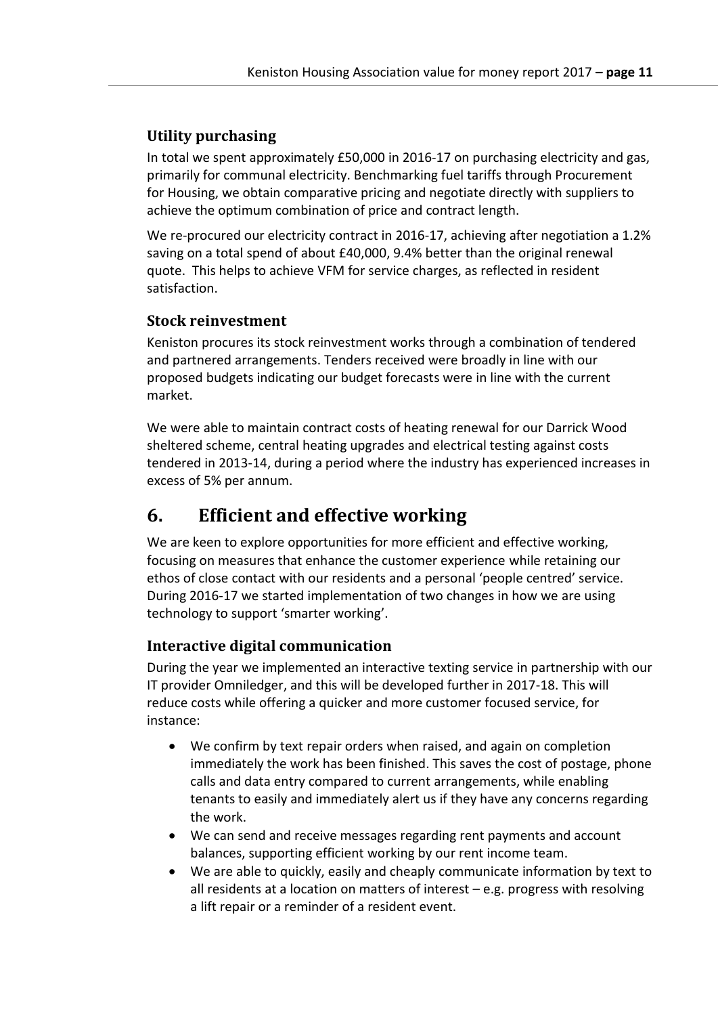### **Utility purchasing**

In total we spent approximately £50,000 in 2016-17 on purchasing electricity and gas, primarily for communal electricity. Benchmarking fuel tariffs through Procurement for Housing, we obtain comparative pricing and negotiate directly with suppliers to achieve the optimum combination of price and contract length.

We re-procured our electricity contract in 2016-17, achieving after negotiation a 1.2% saving on a total spend of about £40,000, 9.4% better than the original renewal quote. This helps to achieve VFM for service charges, as reflected in resident satisfaction.

#### **Stock reinvestment**

Keniston procures its stock reinvestment works through a combination of tendered and partnered arrangements. Tenders received were broadly in line with our proposed budgets indicating our budget forecasts were in line with the current market.

We were able to maintain contract costs of heating renewal for our Darrick Wood sheltered scheme, central heating upgrades and electrical testing against costs tendered in 2013-14, during a period where the industry has experienced increases in excess of 5% per annum.

## <span id="page-11-0"></span>**6. Efficient and effective working**

We are keen to explore opportunities for more efficient and effective working, focusing on measures that enhance the customer experience while retaining our ethos of close contact with our residents and a personal 'people centred' service. During 2016-17 we started implementation of two changes in how we are using technology to support 'smarter working'.

### **Interactive digital communication**

During the year we implemented an interactive texting service in partnership with our IT provider Omniledger, and this will be developed further in 2017-18. This will reduce costs while offering a quicker and more customer focused service, for instance:

- We confirm by text repair orders when raised, and again on completion immediately the work has been finished. This saves the cost of postage, phone calls and data entry compared to current arrangements, while enabling tenants to easily and immediately alert us if they have any concerns regarding the work.
- We can send and receive messages regarding rent payments and account balances, supporting efficient working by our rent income team.
- We are able to quickly, easily and cheaply communicate information by text to all residents at a location on matters of interest – e.g. progress with resolving a lift repair or a reminder of a resident event.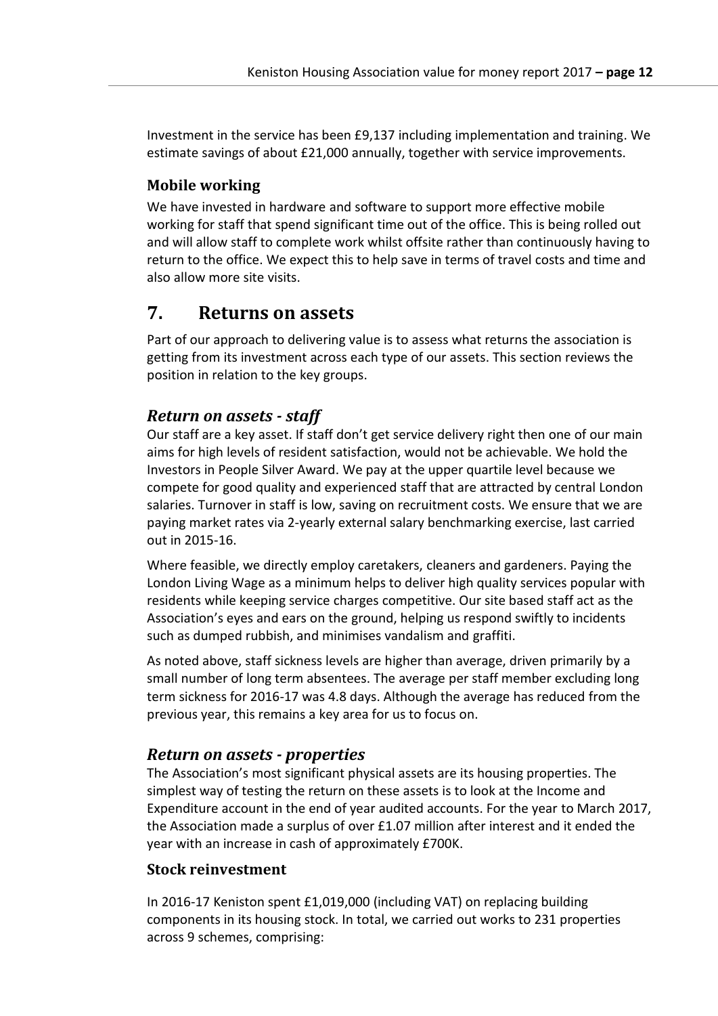Investment in the service has been £9,137 including implementation and training. We estimate savings of about £21,000 annually, together with service improvements.

#### **Mobile working**

We have invested in hardware and software to support more effective mobile working for staff that spend significant time out of the office. This is being rolled out and will allow staff to complete work whilst offsite rather than continuously having to return to the office. We expect this to help save in terms of travel costs and time and also allow more site visits.

## <span id="page-12-0"></span>**7. Returns on assets**

Part of our approach to delivering value is to assess what returns the association is getting from its investment across each type of our assets. This section reviews the position in relation to the key groups.

### *Return on assets - staff*

Our staff are a key asset. If staff don't get service delivery right then one of our main aims for high levels of resident satisfaction, would not be achievable. We hold the Investors in People Silver Award. We pay at the upper quartile level because we compete for good quality and experienced staff that are attracted by central London salaries. Turnover in staff is low, saving on recruitment costs. We ensure that we are paying market rates via 2-yearly external salary benchmarking exercise, last carried out in 2015-16.

Where feasible, we directly employ caretakers, cleaners and gardeners. Paying the London Living Wage as a minimum helps to deliver high quality services popular with residents while keeping service charges competitive. Our site based staff act as the Association's eyes and ears on the ground, helping us respond swiftly to incidents such as dumped rubbish, and minimises vandalism and graffiti.

As noted above, staff sickness levels are higher than average, driven primarily by a small number of long term absentees. The average per staff member excluding long term sickness for 2016-17 was 4.8 days. Although the average has reduced from the previous year, this remains a key area for us to focus on.

#### *Return on assets - properties*

The Association's most significant physical assets are its housing properties. The simplest way of testing the return on these assets is to look at the Income and Expenditure account in the end of year audited accounts. For the year to March 2017, the Association made a surplus of over £1.07 million after interest and it ended the year with an increase in cash of approximately £700K.

#### **Stock reinvestment**

In 2016-17 Keniston spent £1,019,000 (including VAT) on replacing building components in its housing stock. In total, we carried out works to 231 properties across 9 schemes, comprising: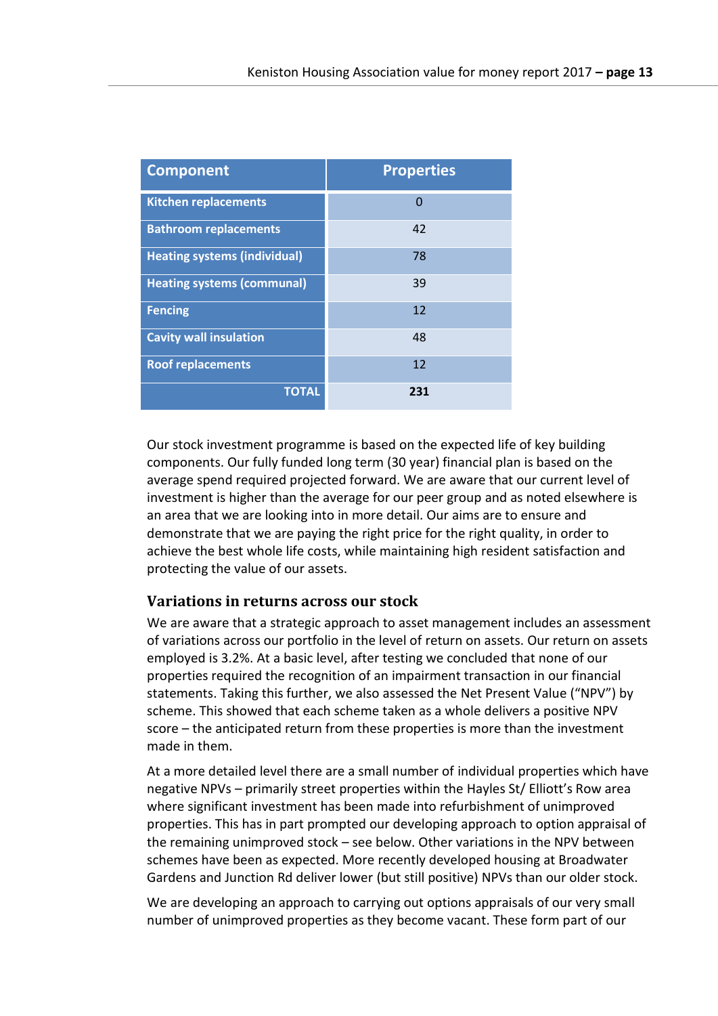| <b>Component</b>                    | <b>Properties</b> |
|-------------------------------------|-------------------|
| <b>Kitchen replacements</b>         | 0                 |
| <b>Bathroom replacements</b>        | 42                |
| <b>Heating systems (individual)</b> | 78                |
| <b>Heating systems (communal)</b>   | 39                |
| <b>Fencing</b>                      | 12                |
| <b>Cavity wall insulation</b>       | 48                |
| <b>Roof replacements</b>            | 12                |
| <b>TOTAL</b>                        | 231               |

Our stock investment programme is based on the expected life of key building components. Our fully funded long term (30 year) financial plan is based on the average spend required projected forward. We are aware that our current level of investment is higher than the average for our peer group and as noted elsewhere is an area that we are looking into in more detail. Our aims are to ensure and demonstrate that we are paying the right price for the right quality, in order to achieve the best whole life costs, while maintaining high resident satisfaction and protecting the value of our assets.

#### **Variations in returns across our stock**

We are aware that a strategic approach to asset management includes an assessment of variations across our portfolio in the level of return on assets. Our return on assets employed is 3.2%. At a basic level, after testing we concluded that none of our properties required the recognition of an impairment transaction in our financial statements. Taking this further, we also assessed the Net Present Value ("NPV") by scheme. This showed that each scheme taken as a whole delivers a positive NPV score – the anticipated return from these properties is more than the investment made in them.

At a more detailed level there are a small number of individual properties which have negative NPVs – primarily street properties within the Hayles St/ Elliott's Row area where significant investment has been made into refurbishment of unimproved properties. This has in part prompted our developing approach to option appraisal of the remaining unimproved stock – see below. Other variations in the NPV between schemes have been as expected. More recently developed housing at Broadwater Gardens and Junction Rd deliver lower (but still positive) NPVs than our older stock.

We are developing an approach to carrying out options appraisals of our very small number of unimproved properties as they become vacant. These form part of our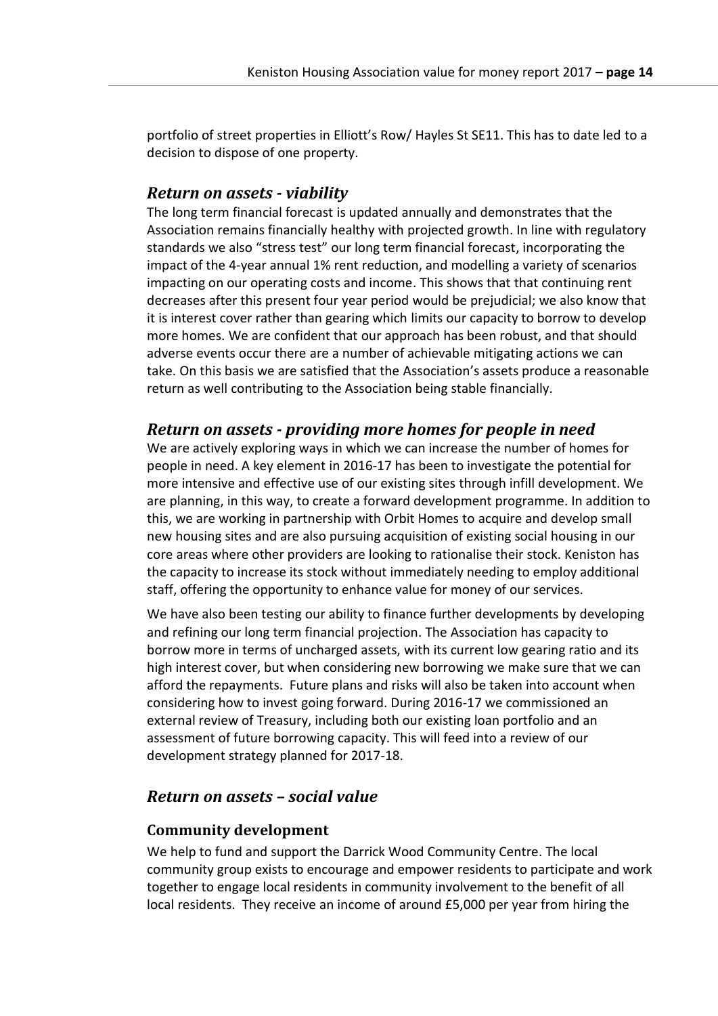portfolio of street properties in Elliott's Row/ Hayles St SE11. This has to date led to a decision to dispose of one property.

#### *Return on assets - viability*

The long term financial forecast is updated annually and demonstrates that the Association remains financially healthy with projected growth. In line with regulatory standards we also "stress test" our long term financial forecast, incorporating the impact of the 4-year annual 1% rent reduction, and modelling a variety of scenarios impacting on our operating costs and income. This shows that that continuing rent decreases after this present four year period would be prejudicial; we also know that it is interest cover rather than gearing which limits our capacity to borrow to develop more homes. We are confident that our approach has been robust, and that should adverse events occur there are a number of achievable mitigating actions we can take. On this basis we are satisfied that the Association's assets produce a reasonable return as well contributing to the Association being stable financially.

#### *Return on assets - providing more homes for people in need*

We are actively exploring ways in which we can increase the number of homes for people in need. A key element in 2016-17 has been to investigate the potential for more intensive and effective use of our existing sites through infill development. We are planning, in this way, to create a forward development programme. In addition to this, we are working in partnership with Orbit Homes to acquire and develop small new housing sites and are also pursuing acquisition of existing social housing in our core areas where other providers are looking to rationalise their stock. Keniston has the capacity to increase its stock without immediately needing to employ additional staff, offering the opportunity to enhance value for money of our services.

We have also been testing our ability to finance further developments by developing and refining our long term financial projection. The Association has capacity to borrow more in terms of uncharged assets, with its current low gearing ratio and its high interest cover, but when considering new borrowing we make sure that we can afford the repayments. Future plans and risks will also be taken into account when considering how to invest going forward. During 2016-17 we commissioned an external review of Treasury, including both our existing loan portfolio and an assessment of future borrowing capacity. This will feed into a review of our development strategy planned for 2017-18.

### *Return on assets – social value*

#### **Community development**

We help to fund and support the Darrick Wood Community Centre. The local community group exists to encourage and empower residents to participate and work together to engage local residents in community involvement to the benefit of all local residents. They receive an income of around £5,000 per year from hiring the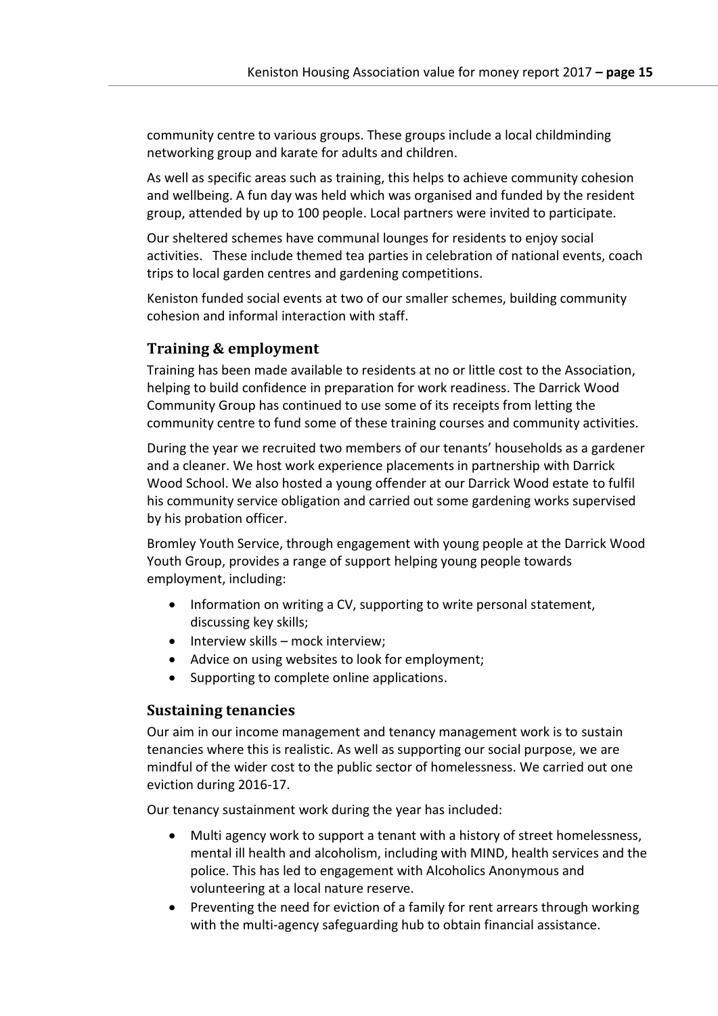community centre to various groups. These groups include a local childminding networking group and karate for adults and children.

As well as specific areas such as training, this helps to achieve community cohesion and wellbeing. A fun day was held which was organised and funded by the resident group, attended by up to 100 people. Local partners were invited to participate.

Our sheltered schemes have communal lounges for residents to enjoy social activities. These include themed tea parties in celebration of national events, coach trips to local garden centres and gardening competitions.

Keniston funded social events at two of our smaller schemes, building community cohesion and informal interaction with staff.

#### **Training & employment**

Training has been made available to residents at no or little cost to the Association, helping to build confidence in preparation for work readiness. The Darrick Wood Community Group has continued to use some of its receipts from letting the community centre to fund some of these training courses and community activities.

During the year we recruited two members of our tenants' households as a gardener and a cleaner. We host work experience placements in partnership with Darrick Wood School. We also hosted a young offender at our Darrick Wood estate to fulfil his community service obligation and carried out some gardening works supervised by his probation officer.

Bromley Youth Service, through engagement with young people at the Darrick Wood Youth Group, provides a range of support helping young people towards employment, including:

- Information on writing a CV, supporting to write personal statement, discussing key skills;
- $\bullet$  Interview skills mock interview;
- Advice on using websites to look for employment;
- Supporting to complete online applications.

#### **Sustaining tenancies**

Our aim in our income management and tenancy management work is to sustain tenancies where this is realistic. As well as supporting our social purpose, we are mindful of the wider cost to the public sector of homelessness. We carried out one eviction during 2016-17.

Our tenancy sustainment work during the year has included:

- Multi agency work to support a tenant with a history of street homelessness, mental ill health and alcoholism, including with MIND, health services and the police. This has led to engagement with Alcoholics Anonymous and volunteering at a local nature reserve.
- Preventing the need for eviction of a family for rent arrears through working with the multi-agency safeguarding hub to obtain financial assistance.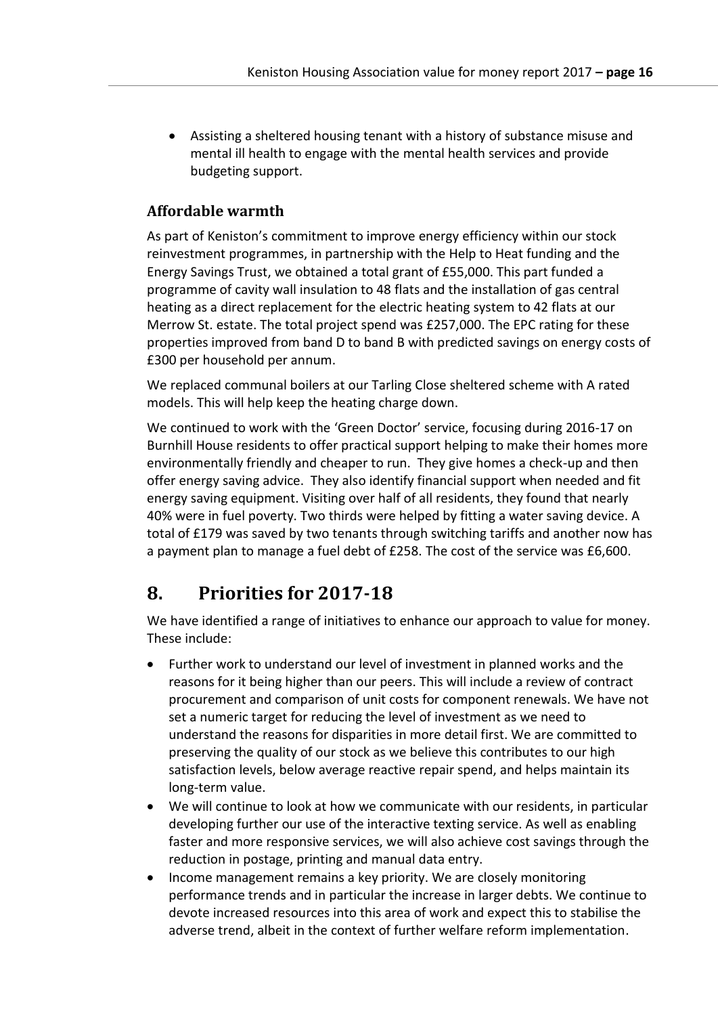Assisting a sheltered housing tenant with a history of substance misuse and mental ill health to engage with the mental health services and provide budgeting support.

#### **Affordable warmth**

As part of Keniston's commitment to improve energy efficiency within our stock reinvestment programmes, in partnership with the Help to Heat funding and the Energy Savings Trust, we obtained a total grant of £55,000. This part funded a programme of cavity wall insulation to 48 flats and the installation of gas central heating as a direct replacement for the electric heating system to 42 flats at our Merrow St. estate. The total project spend was £257,000. The EPC rating for these properties improved from band D to band B with predicted savings on energy costs of £300 per household per annum.

We replaced communal boilers at our Tarling Close sheltered scheme with A rated models. This will help keep the heating charge down.

We continued to work with the 'Green Doctor' service, focusing during 2016-17 on Burnhill House residents to offer practical support helping to make their homes more environmentally friendly and cheaper to run. They give homes a check-up and then offer energy saving advice. They also identify financial support when needed and fit energy saving equipment. Visiting over half of all residents, they found that nearly 40% were in fuel poverty. Two thirds were helped by fitting a water saving device. A total of £179 was saved by two tenants through switching tariffs and another now has a payment plan to manage a fuel debt of £258. The cost of the service was £6,600.

## <span id="page-16-0"></span>**8. Priorities for 2017-18**

We have identified a range of initiatives to enhance our approach to value for money. These include:

- Further work to understand our level of investment in planned works and the reasons for it being higher than our peers. This will include a review of contract procurement and comparison of unit costs for component renewals. We have not set a numeric target for reducing the level of investment as we need to understand the reasons for disparities in more detail first. We are committed to preserving the quality of our stock as we believe this contributes to our high satisfaction levels, below average reactive repair spend, and helps maintain its long-term value.
- We will continue to look at how we communicate with our residents, in particular developing further our use of the interactive texting service. As well as enabling faster and more responsive services, we will also achieve cost savings through the reduction in postage, printing and manual data entry.
- Income management remains a key priority. We are closely monitoring performance trends and in particular the increase in larger debts. We continue to devote increased resources into this area of work and expect this to stabilise the adverse trend, albeit in the context of further welfare reform implementation.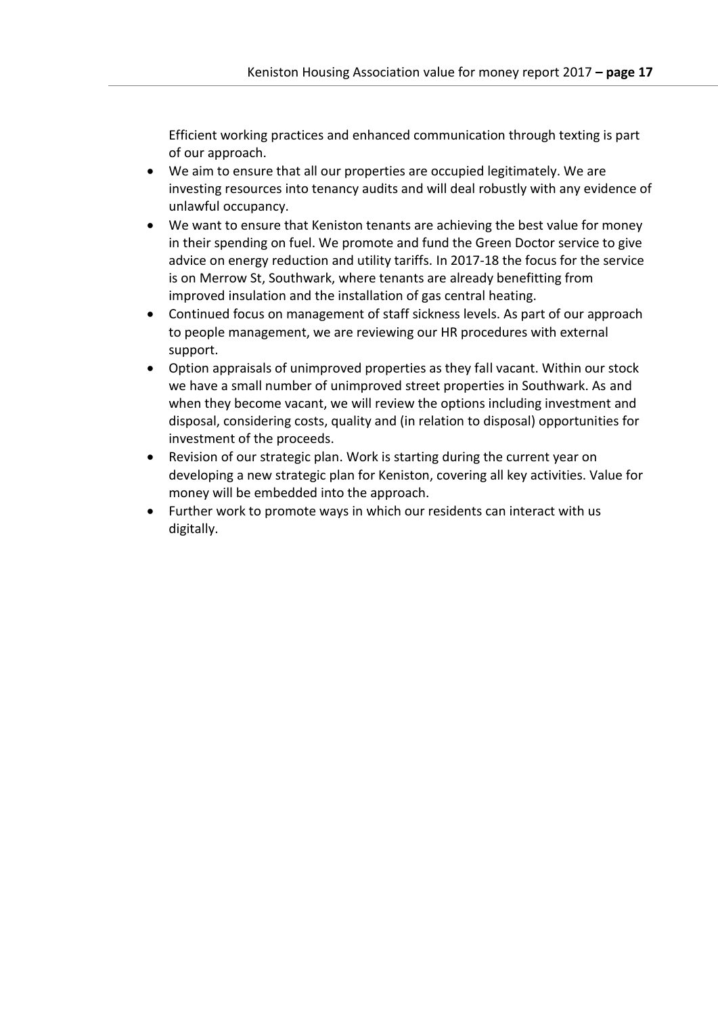Efficient working practices and enhanced communication through texting is part of our approach.

- We aim to ensure that all our properties are occupied legitimately. We are investing resources into tenancy audits and will deal robustly with any evidence of unlawful occupancy.
- We want to ensure that Keniston tenants are achieving the best value for money in their spending on fuel. We promote and fund the Green Doctor service to give advice on energy reduction and utility tariffs. In 2017-18 the focus for the service is on Merrow St, Southwark, where tenants are already benefitting from improved insulation and the installation of gas central heating.
- Continued focus on management of staff sickness levels. As part of our approach to people management, we are reviewing our HR procedures with external support.
- Option appraisals of unimproved properties as they fall vacant. Within our stock we have a small number of unimproved street properties in Southwark. As and when they become vacant, we will review the options including investment and disposal, considering costs, quality and (in relation to disposal) opportunities for investment of the proceeds.
- Revision of our strategic plan. Work is starting during the current year on developing a new strategic plan for Keniston, covering all key activities. Value for money will be embedded into the approach.
- Further work to promote ways in which our residents can interact with us digitally.